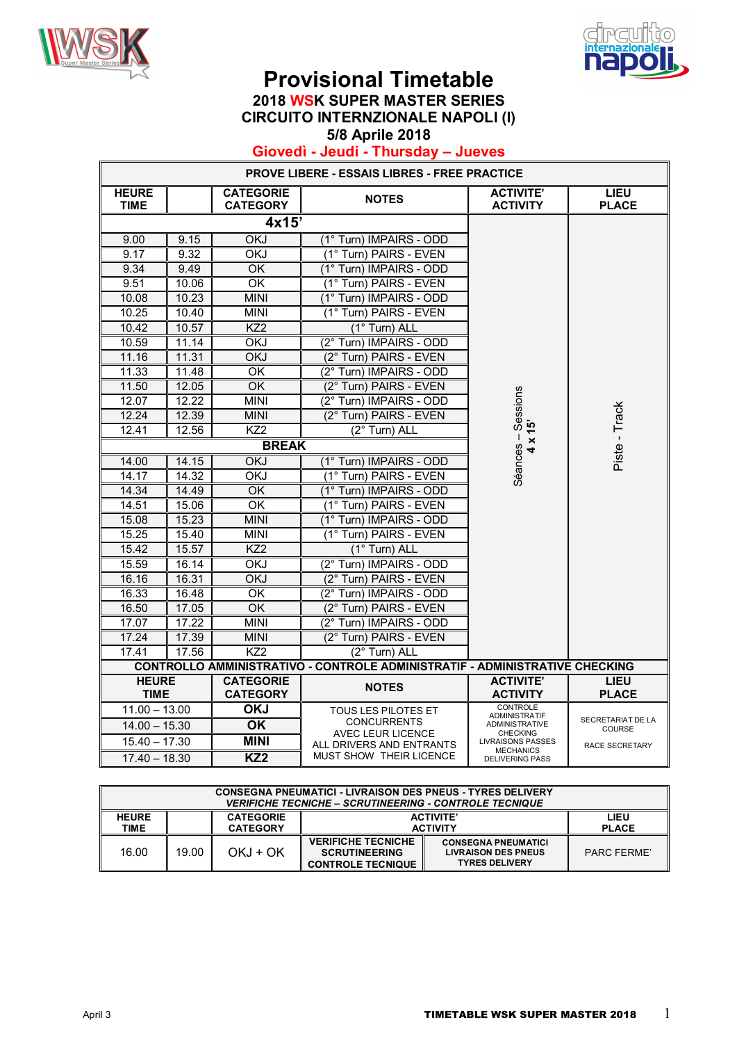



# **Provisional Timetable**

#### **2018 WSK SUPER MASTER SERIES CIRCUITO INTERNZIONALE NAPOLI (I)**

**5/8 Aprile 2018**

### **Giovedì - Jeudi - Thursday – Jueves**

|                             |       |                                     | <b>PROVE LIBERE - ESSAIS LIBRES - FREE PRACTICE</b>                                |                                            |                                    |
|-----------------------------|-------|-------------------------------------|------------------------------------------------------------------------------------|--------------------------------------------|------------------------------------|
| <b>HEURE</b><br><b>TIME</b> |       | <b>CATEGORIE</b><br><b>CATEGORY</b> | <b>NOTES</b>                                                                       | <b>ACTIVITE'</b><br><b>ACTIVITY</b>        | <b>LIEU</b><br><b>PLACE</b>        |
|                             |       | 4x15'                               |                                                                                    |                                            |                                    |
| 9.00                        | 9.15  | <b>OKJ</b>                          | (1° Turn) IMPAIRS - ODD                                                            |                                            |                                    |
| 9.17                        | 9.32  | <b>OKJ</b>                          | (1° Turn) PAIRS - EVEN                                                             |                                            |                                    |
| 9.34                        | 9.49  | <b>OK</b>                           | (1° Turn) IMPAIRS - ODD                                                            |                                            |                                    |
| 9.51                        | 10.06 | OK                                  | (1° Turn) PAIRS - EVEN                                                             |                                            |                                    |
| 10.08                       | 10.23 | <b>MINI</b>                         | (1° Turn) IMPAIRS - ODD                                                            |                                            |                                    |
| 10.25                       | 10.40 | <b>MINI</b>                         | (1° Turn) PAIRS - EVEN                                                             |                                            |                                    |
| 10.42                       | 10.57 | KZ <sub>2</sub>                     | (1° Turn) ALL                                                                      |                                            |                                    |
| 10.59                       | 11.14 | OKJ                                 | (2° Turn) IMPAIRS - ODD                                                            |                                            |                                    |
| 11.16                       | 11.31 | OKJ                                 | (2° Turn) PAIRS - EVEN                                                             |                                            |                                    |
| 11.33                       | 11.48 | OK                                  | (2° Turn) IMPAIRS - ODD                                                            |                                            |                                    |
| 11.50                       | 12.05 | <b>OK</b>                           | (2° Turn) PAIRS - EVEN                                                             |                                            |                                    |
| 12.07                       | 12.22 | <b>MINI</b>                         | (2° Turn) IMPAIRS - ODD                                                            |                                            |                                    |
| 12.24                       | 12.39 | <b>MINI</b>                         | (2° Turn) PAIRS - EVEN                                                             |                                            |                                    |
| 12.41                       | 12.56 | KZ <sub>2</sub>                     | (2° Turn) ALL                                                                      | 15                                         |                                    |
| <b>BREAK</b>                |       |                                     |                                                                                    | Séances - Sessions<br>4 x                  | Piste - Track                      |
| 14.00                       | 14.15 | OKJ                                 | (1° Turn) IMPAIRS - ODD                                                            |                                            |                                    |
| 14.17                       | 14.32 | <b>OKJ</b>                          | (1° Turn) PAIRS - EVEN                                                             |                                            |                                    |
| 14.34                       | 14.49 | OK                                  | (1° Turn) IMPAIRS - ODD                                                            |                                            |                                    |
| 14.51                       | 15.06 | OK                                  | (1° Turn) PAIRS - EVEN                                                             |                                            |                                    |
| 15.08                       | 15.23 | <b>MINI</b>                         | (1° Turn) IMPAIRS - ODD                                                            |                                            |                                    |
| 15.25                       | 15.40 | <b>MINI</b>                         | (1° Turn) PAIRS - EVEN                                                             |                                            |                                    |
| 15.42                       | 15.57 | KZ2                                 | $(1°$ Turn) ALL                                                                    |                                            |                                    |
| 15.59                       | 16.14 | <b>OKJ</b>                          | (2° Turn) IMPAIRS - ODD                                                            |                                            |                                    |
| 16.16                       | 16.31 | OKJ                                 | (2° Turn) PAIRS - EVEN                                                             |                                            |                                    |
| 16.33                       | 16.48 | ΟK                                  | (2° Turn) IMPAIRS - ODD                                                            |                                            |                                    |
| 16.50                       | 17.05 | OK                                  | (2° Turn) PAIRS - EVEN                                                             |                                            |                                    |
| 17.07                       | 17.22 | <b>MINI</b>                         | (2° Turn) IMPAIRS - ODD                                                            |                                            |                                    |
| 17.24                       | 17.39 | <b>MINI</b>                         | (2° Turn) PAIRS - EVEN                                                             |                                            |                                    |
| 17.41                       | 17.56 | KZ <sub>2</sub>                     | (2° Turn) ALL                                                                      |                                            |                                    |
|                             |       |                                     | <b>CONTROLLO AMMINISTRATIVO - CONTROLE ADMINISTRATIF - ADMINISTRATIVE CHECKING</b> |                                            |                                    |
| <b>HEURE</b><br><b>TIME</b> |       | <b>CATEGORIE</b><br><b>CATEGORY</b> | <b>NOTES</b>                                                                       | <b>ACTIVITE'</b><br><b>ACTIVITY</b>        | <b>LIEU</b><br><b>PLACE</b>        |
| $11.00 - 13.00$             |       | <b>OKJ</b>                          | <b>TOUS LES PILOTES ET</b>                                                         | <b>CONTROLE</b><br><b>ADMINISTRATIF</b>    |                                    |
| $14.00 - 15.30$             |       | OK.                                 | <b>CONCURRENTS</b><br><b>AVEC LEUR LICENCE</b>                                     | <b>ADMINISTRATIVE</b><br><b>CHECKING</b>   | SECRETARIAT DE LA<br><b>COURSE</b> |
| $15.40 - 17.30$             |       | MINI                                | ALL DRIVERS AND ENTRANTS                                                           | <b>LIVRAISONS PASSES</b>                   | <b>RACE SECRETARY</b>              |
| $17.40 - 18.30$             |       | KZ <sub>2</sub>                     | MUST SHOW THEIR LICENCE                                                            | <b>MECHANICS</b><br><b>DELIVERING PASS</b> |                                    |

|                      |       |                                     | <b>VERIFICHE TECNICHE - SCRUTINEERING - CONTROLE TECNIQUE</b>                 | <b>CONSEGNA PNEUMATICI - LIVRAISON DES PNEUS - TYRES DELIVERY</b>                 |                      |
|----------------------|-------|-------------------------------------|-------------------------------------------------------------------------------|-----------------------------------------------------------------------------------|----------------------|
| <b>HEURE</b><br>TIME |       | <b>CATEGORIE</b><br><b>CATEGORY</b> | <b>ACTIVITE'</b><br><b>ACTIVITY</b>                                           |                                                                                   | LIEU<br><b>PLACE</b> |
| 16.00                | 19.00 | OKJ + OK                            | <b>VERIFICHE TECNICHE</b><br><b>SCRUTINEERING</b><br><b>CONTROLE TECNIQUE</b> | <b>CONSEGNA PNEUMATICI</b><br><b>LIVRAISON DES PNEUS</b><br><b>TYRES DELIVERY</b> | PARC FFRMF'          |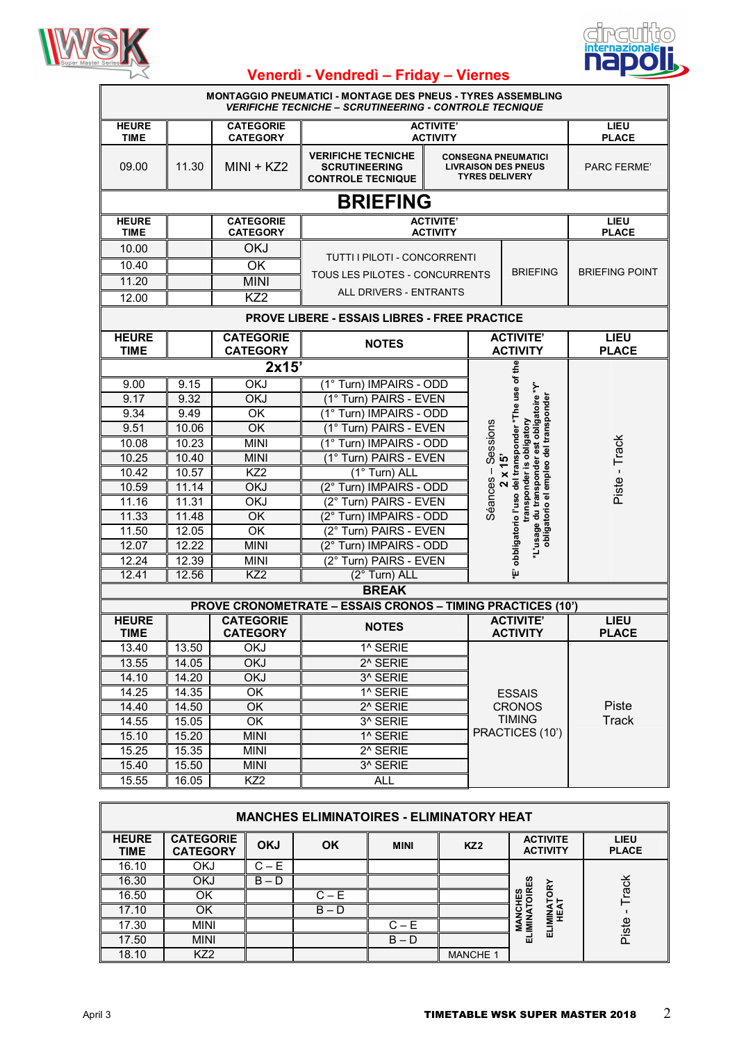

 $\mathbb{F}$ 



# **Venerdì - Vendredì – Friday – Viernes**

|                             |                    |                                     | <b>MONTAGGIO PNEUMATICI - MONTAGE DES PNEUS - TYRES ASSEMBLING</b><br><b>VERIFICHE TECNICHE – SCRUTINEERING - CONTROLE TECNIQUE</b> |                                     |                       |                                                                                                                                               |                             |
|-----------------------------|--------------------|-------------------------------------|-------------------------------------------------------------------------------------------------------------------------------------|-------------------------------------|-----------------------|-----------------------------------------------------------------------------------------------------------------------------------------------|-----------------------------|
| <b>HEURE</b><br><b>TIME</b> |                    | <b>CATEGORIE</b><br><b>CATEGORY</b> |                                                                                                                                     | <b>ACTIVITE'</b><br><b>ACTIVITY</b> |                       |                                                                                                                                               | <b>LIEU</b><br><b>PLACE</b> |
| 09.00                       | 11.30              | $MINI + KZ2$                        | <b>VERIFICHE TECNICHE</b><br><b>SCRUTINEERING</b><br><b>CONTROLE TECNIQUE</b>                                                       |                                     | <b>TYRES DELIVERY</b> | <b>CONSEGNA PNEUMATICI</b><br><b>LIVRAISON DES PNEUS</b>                                                                                      | PARC FERME'                 |
|                             |                    |                                     | <b>BRIEFING</b>                                                                                                                     |                                     |                       |                                                                                                                                               |                             |
| <b>HEURE</b><br><b>TIME</b> |                    | <b>CATEGORIE</b><br><b>CATEGORY</b> |                                                                                                                                     | <b>ACTIVITE'</b><br><b>ACTIVITY</b> |                       |                                                                                                                                               | <b>LIEU</b><br><b>PLACE</b> |
| 10.00                       |                    | <b>OKJ</b>                          |                                                                                                                                     |                                     |                       |                                                                                                                                               |                             |
| 10.40                       |                    | OK                                  | TUTTI I PILOTI - CONCORRENTI                                                                                                        |                                     |                       |                                                                                                                                               |                             |
| 11.20                       |                    | <b>MINI</b>                         | TOUS LES PILOTES - CONCURRENTS                                                                                                      |                                     |                       | <b>BRIEFING</b>                                                                                                                               | <b>BRIEFING POINT</b>       |
| 12.00                       |                    | KZ <sub>2</sub>                     | ALL DRIVERS - ENTRANTS                                                                                                              |                                     |                       |                                                                                                                                               |                             |
|                             |                    |                                     | <b>PROVE LIBERE - ESSAIS LIBRES - FREE PRACTICE</b>                                                                                 |                                     |                       |                                                                                                                                               |                             |
| <b>HEURE</b><br><b>TIME</b> |                    | <b>CATEGORIE</b><br><b>CATEGORY</b> | <b>ACTIVITE'</b><br><b>NOTES</b><br><b>ACTIVITY</b>                                                                                 |                                     |                       | <b>LIEU</b><br><b>PLACE</b>                                                                                                                   |                             |
|                             |                    | 2x15'                               |                                                                                                                                     |                                     |                       |                                                                                                                                               |                             |
| 9.00                        | 9.15               | <b>OKJ</b>                          | (1° Turn) IMPAIRS - ODD                                                                                                             |                                     |                       |                                                                                                                                               |                             |
| 9.17                        | 9.32               | <b>OKJ</b>                          | (1° Turn) PAIRS - EVEN                                                                                                              |                                     |                       |                                                                                                                                               |                             |
| 9.34                        | 9.49               | OK                                  | (1° Turn) IMPAIRS - ODD                                                                                                             |                                     |                       |                                                                                                                                               |                             |
| 9.51                        | 10.06              | OK                                  | (1° Turn) PAIRS - EVEN                                                                                                              |                                     | Sessions              |                                                                                                                                               | Piste - Track               |
| 10.08                       | 10.23              | <b>MINI</b>                         | (1° Turn) IMPAIRS - ODD                                                                                                             |                                     |                       |                                                                                                                                               |                             |
| 10.25                       | 10.40              | <b>MINI</b>                         | (1° Turn) PAIRS - EVEN                                                                                                              |                                     |                       | ransponder is obligatory<br><b>i</b> s                                                                                                        |                             |
| 10.42                       | 10.57              | KZ2                                 | (1° Turn) ALL                                                                                                                       |                                     |                       |                                                                                                                                               |                             |
| 10.59                       | 11.14              | <b>OKJ</b>                          | (2° Turn) IMPAIRS - ODD                                                                                                             |                                     |                       |                                                                                                                                               |                             |
| 11.16                       | 11.31              | <b>OKJ</b>                          | (2° Turn) PAIRS - EVEN                                                                                                              |                                     | Séances               |                                                                                                                                               |                             |
| 11.33                       | 11.48              | OK                                  | (2° Turn) IMPAIRS - ODD                                                                                                             |                                     |                       |                                                                                                                                               |                             |
| 11.50                       | 12.05              | OK                                  | (2° Turn) PAIRS - EVEN                                                                                                              |                                     |                       | E' obbligatorio l'uso del transponder *The use of the<br>"L'usage du transponder est obligatoire "Y"<br>obligatorio el empleo del transponder |                             |
| 12.07                       | 12.22              | <b>MINI</b>                         | (2° Turn) IMPAIRS - ODD                                                                                                             |                                     |                       |                                                                                                                                               |                             |
| 12.24                       | $\overline{12.39}$ | <b>MINI</b>                         | (2° Turn) PAIRS - EVEN                                                                                                              |                                     |                       |                                                                                                                                               |                             |
| 12.41                       | 12.56              | KZ <sub>2</sub>                     | (2° Turn) ALL                                                                                                                       |                                     |                       |                                                                                                                                               |                             |
|                             |                    |                                     | <b>BREAK</b>                                                                                                                        |                                     |                       |                                                                                                                                               |                             |
|                             |                    |                                     | <b>PROVE CRONOMETRATE - ESSAIS CRONOS - TIMING PRACTICES (10')</b>                                                                  |                                     |                       |                                                                                                                                               |                             |
| <b>HEURE</b><br><b>TIME</b> |                    | <b>CATEGORIE</b><br><b>CATEGORY</b> | <b>NOTES</b>                                                                                                                        |                                     |                       | <b>ACTIVITE'</b><br><b>ACTIVITY</b>                                                                                                           | <b>LIEU</b><br><b>PLACE</b> |
| 13.40                       | 13.50              | OKJ                                 | 1^ SERIE                                                                                                                            |                                     |                       |                                                                                                                                               |                             |
| 13.55                       | 14.05              | OKJ                                 | $2^{\wedge}$ SERIE                                                                                                                  |                                     |                       |                                                                                                                                               |                             |
| 14.10                       | 14.20              | <b>OKJ</b>                          | 3 <sup>^</sup> SERIE                                                                                                                |                                     |                       |                                                                                                                                               |                             |
| 14.25                       | $\overline{14.35}$ | OK                                  | 1^ SERIE                                                                                                                            |                                     |                       | <b>ESSAIS</b>                                                                                                                                 |                             |
| 14.40                       | 14.50              | $\overline{OK}$                     | 2^ SERIE                                                                                                                            |                                     |                       | <b>CRONOS</b>                                                                                                                                 | Piste                       |
| 14.55                       | 15.05              | OK                                  | 3^ SERIE                                                                                                                            |                                     |                       | <b>TIMING</b>                                                                                                                                 | <b>Track</b>                |
| 15.10                       | 15.20              | <b>MINI</b>                         | 1^ SERIE                                                                                                                            |                                     |                       | PRACTICES (10')                                                                                                                               |                             |
| 15.25                       | 15.35              | <b>MINI</b>                         | 2^ SERIE                                                                                                                            |                                     |                       |                                                                                                                                               |                             |
| 15.40                       | 15.50              | <b>MINI</b>                         | 3^ SERIE                                                                                                                            |                                     |                       |                                                                                                                                               |                             |
| 15.55                       | 16.05              | KZ2                                 | <b>ALL</b>                                                                                                                          |                                     |                       |                                                                                                                                               |                             |

|                             | <b>MANCHES ELIMINATOIRES - ELIMINATORY HEAT</b> |            |           |             |                 |                                    |                      |
|-----------------------------|-------------------------------------------------|------------|-----------|-------------|-----------------|------------------------------------|----------------------|
| <b>HEURE</b><br><b>TIME</b> | <b>CATEGORIE</b><br><b>CATEGORY</b>             | <b>OKJ</b> | <b>OK</b> | <b>MINI</b> | KZ <sub>2</sub> | <b>ACTIVITE</b><br><b>ACTIVITY</b> | LIEU<br><b>PLACE</b> |
| 16.10                       | OKJ                                             | $C - E$    |           |             |                 |                                    |                      |
| 16.30                       | OKJ                                             | $-$ D<br>B |           |             |                 | <b>IRES</b>                        | Track                |
| 16.50                       | ΟK                                              |            | $C - E$   |             |                 | ē F                                |                      |
| 17.10                       | OK                                              |            | $B - D$   |             |                 | <b>NEN</b><br>HEA                  |                      |
| 17.30                       | <b>MINI</b>                                     |            |           | $C - E$     |                 | $\sum_{i=1}^{n}$                   | Piste                |
| 17.50                       | <b>MINI</b>                                     |            |           | $B - D$     |                 | ᇳ<br>ᇳ                             |                      |
| 18.10                       | KZ <sub>2</sub>                                 |            |           |             | <b>MANCHE 1</b> |                                    |                      |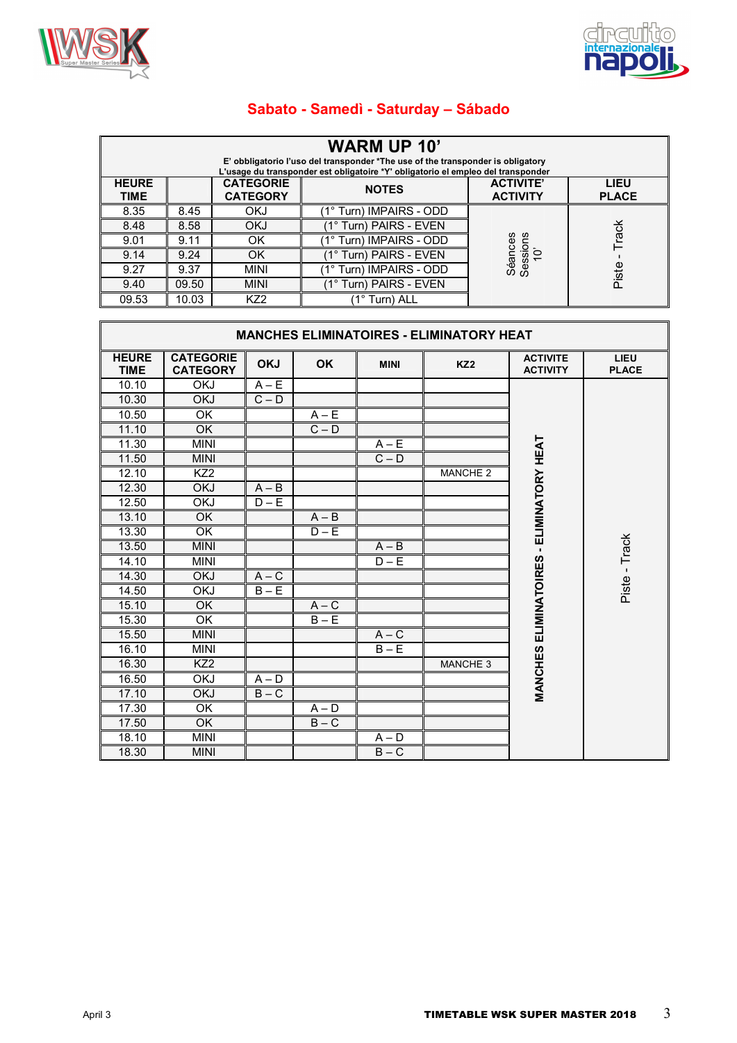



## **Sabato - Samedì - Saturday – Sábado**

| <b>WARM UP 10'</b><br>E' obbligatorio l'uso del transponder *The use of the transponder is obligatory<br>L'usage du transponder est obligatoire *Y' obligatorio el empleo del transponder |       |                                     |                         |                                     |                             |  |
|-------------------------------------------------------------------------------------------------------------------------------------------------------------------------------------------|-------|-------------------------------------|-------------------------|-------------------------------------|-----------------------------|--|
| <b>HEURE</b><br>TIME                                                                                                                                                                      |       | <b>CATEGORIE</b><br><b>CATEGORY</b> | <b>NOTES</b>            | <b>ACTIVITE'</b><br><b>ACTIVITY</b> | <b>LIEU</b><br><b>PLACE</b> |  |
| 8.35                                                                                                                                                                                      | 8.45  | OKJ                                 | (1° Turn) IMPAIRS - ODD |                                     |                             |  |
| 8.48                                                                                                                                                                                      | 8.58  | OKJ                                 | (1° Turn) PAIRS - EVEN  |                                     | Track                       |  |
| 9.01                                                                                                                                                                                      | 9.11  | ΟK                                  | (1° Turn) IMPAIRS - ODD | ဖ<br>ဖာ                             |                             |  |
| 9.14                                                                                                                                                                                      | 9.24  | OK                                  | (1° Turn) PAIRS - EVEN  | sion<br>$\tilde{a}$                 |                             |  |
| 9.27                                                                                                                                                                                      | 9.37  | <b>MINI</b>                         | (1° Turn) IMPAIRS - ODD | Séances<br>Sessions<br>89           | Piste                       |  |
| 9.40                                                                                                                                                                                      | 09.50 | <b>MINI</b>                         | 1° Turn) PAIRS - EVEN   |                                     |                             |  |
| 09.53                                                                                                                                                                                     | 10.03 | KZ <sub>2</sub>                     | Turn) ALL               |                                     |                             |  |

| <b>MANCHES ELIMINATOIRES - ELIMINATORY HEAT</b> |                                     |            |                    |             |                     |                                                 |                      |
|-------------------------------------------------|-------------------------------------|------------|--------------------|-------------|---------------------|-------------------------------------------------|----------------------|
| <b>HEURE</b><br><b>TIME</b>                     | <b>CATEGORIE</b><br><b>CATEGORY</b> | <b>OKJ</b> | <b>OK</b>          | <b>MINI</b> | KZ <sub>2</sub>     | <b>ACTIVITE</b><br><b>ACTIVITY</b>              | LIEU<br><b>PLACE</b> |
| 10.10                                           | OKJ                                 | $A - E$    |                    |             |                     |                                                 |                      |
| 10.30                                           | OKJ                                 | $C - D$    |                    |             |                     |                                                 |                      |
| 10.50                                           | OK                                  |            | $A - E$            |             |                     |                                                 |                      |
| 11.10                                           | $\overline{OK}$                     |            | $C - D$            |             |                     |                                                 |                      |
| 11.30                                           | <b>MINI</b>                         |            |                    | $A - E$     |                     |                                                 |                      |
| 11.50                                           | <b>MINI</b>                         |            |                    | $C - D$     |                     |                                                 |                      |
| 12.10                                           | KZ <sub>2</sub>                     |            |                    |             | MANCHE 2            |                                                 |                      |
| 12.30                                           | <b>OKJ</b>                          | $A - B$    |                    |             |                     | <b>MANCHES ELIMINATOIRES - ELIMINATORY HEAT</b> |                      |
| 12.50                                           | OKJ                                 | $D - E$    |                    |             |                     |                                                 |                      |
| 13.10                                           | $\overline{\mathsf{OK}}$            |            | $A - B$            |             |                     |                                                 |                      |
| 13.30                                           | OK                                  |            | $D - E$            |             |                     |                                                 |                      |
| 13.50                                           | <b>MINI</b>                         |            |                    | $A - B$     |                     |                                                 | Piste - Track        |
| 14.10                                           | <b>MINI</b>                         |            |                    | $D - E$     |                     |                                                 |                      |
| 14.30                                           | <b>OKJ</b>                          | $A - C$    |                    |             |                     |                                                 |                      |
| 14.50                                           | <b>OKJ</b>                          | $B - E$    |                    |             |                     |                                                 |                      |
| 15.10                                           | <b>OK</b>                           |            | $A - C$            |             |                     |                                                 |                      |
| 15.30                                           | OK                                  |            | $B - E$            |             |                     |                                                 |                      |
| 15.50                                           | <b>MINI</b>                         |            |                    | $A - C$     |                     |                                                 |                      |
| 16.10                                           | <b>MINI</b>                         |            |                    | $B - E$     |                     |                                                 |                      |
| 16.30                                           | KZ <sub>2</sub>                     |            |                    |             | MANCHE <sub>3</sub> |                                                 |                      |
| 16.50                                           | OKJ                                 | $A - D$    |                    |             |                     |                                                 |                      |
| 17.10                                           | <b>OKJ</b>                          | $B - C$    |                    |             |                     |                                                 |                      |
| 17.30                                           | $\overline{OK}$                     |            | $A - D$            |             |                     |                                                 |                      |
| 17.50                                           | OK                                  |            | $B - \overline{C}$ |             |                     |                                                 |                      |
| 18.10                                           | <b>MINI</b>                         |            |                    | $A - D$     |                     |                                                 |                      |
| 18.30                                           | <b>MINI</b>                         |            |                    | $B - C$     |                     |                                                 |                      |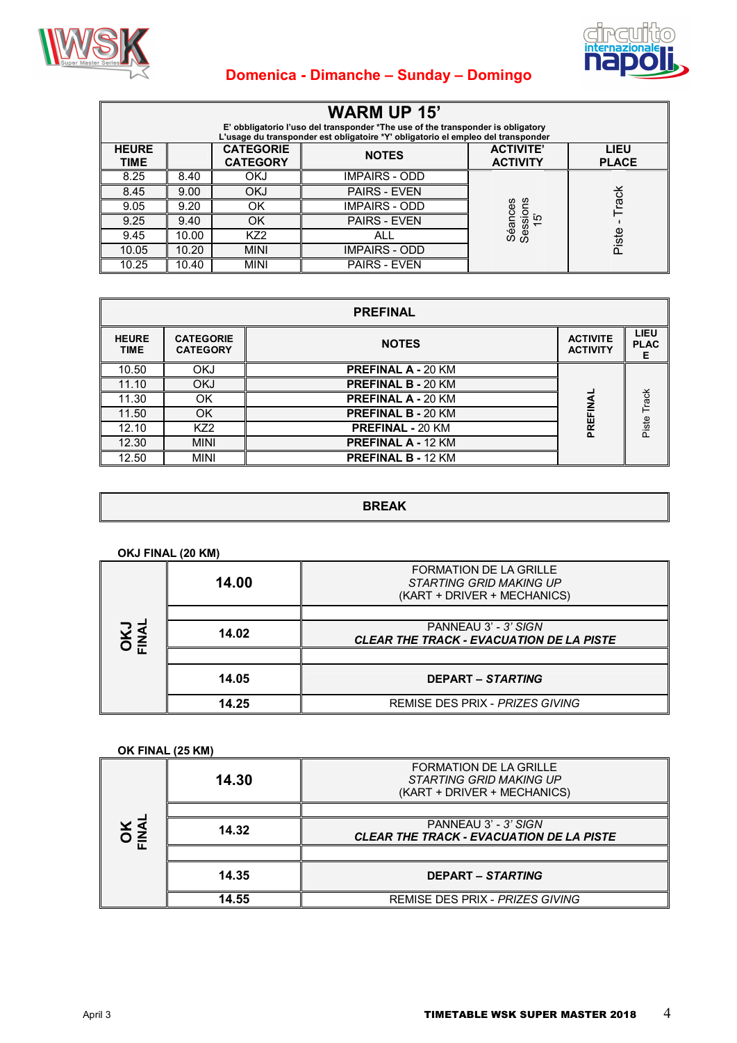



## **Domenica - Dimanche – Sunday – Domingo**

|                             |       |                                     | <b>WARM UP 15'</b><br>E' obbligatorio l'uso del transponder *The use of the transponder is obligatory<br>L'usage du transponder est obligatoire *Y' obligatorio el empleo del transponder |                                     |                             |
|-----------------------------|-------|-------------------------------------|-------------------------------------------------------------------------------------------------------------------------------------------------------------------------------------------|-------------------------------------|-----------------------------|
| <b>HEURE</b><br><b>TIME</b> |       | <b>CATEGORIE</b><br><b>CATEGORY</b> | <b>NOTES</b>                                                                                                                                                                              | <b>ACTIVITE'</b><br><b>ACTIVITY</b> | <b>LIEU</b><br><b>PLACE</b> |
| 8.25                        | 8.40  | OKJ                                 | <b>IMPAIRS - ODD</b>                                                                                                                                                                      |                                     |                             |
| 8.45                        | 9.00  | <b>OKJ</b>                          | <b>PAIRS - EVEN</b>                                                                                                                                                                       |                                     | Track                       |
| 9.05                        | 9.20  | OK                                  | <b>IMPAIRS - ODD</b>                                                                                                                                                                      | Séances<br>Sessions<br>15'          |                             |
| 9.25                        | 9.40  | OK                                  | <b>PAIRS - EVEN</b>                                                                                                                                                                       |                                     |                             |
| 9.45                        | 10.00 | KZ <sub>2</sub>                     | ALL                                                                                                                                                                                       |                                     | Piste                       |
| 10.05                       | 10.20 | <b>MINI</b>                         | <b>IMPAIRS - ODD</b>                                                                                                                                                                      |                                     |                             |
| 10.25                       | 10.40 | <b>MINI</b>                         | <b>PAIRS - EVEN</b>                                                                                                                                                                       |                                     |                             |

|                             |                                     | <b>PREFINAL</b>           |                                    |                           |
|-----------------------------|-------------------------------------|---------------------------|------------------------------------|---------------------------|
| <b>HEURE</b><br><b>TIME</b> | <b>CATEGORIE</b><br><b>CATEGORY</b> | <b>NOTES</b>              | <b>ACTIVITE</b><br><b>ACTIVITY</b> | LIEU<br><b>PLAC</b><br>Е. |
| 10.50                       | <b>OKJ</b>                          | <b>PREFINAL A - 20 KM</b> |                                    |                           |
| 11.10                       | <b>OKJ</b>                          | <b>PREFINAL B - 20 KM</b> |                                    |                           |
| 11.30                       | OK.                                 | <b>PREFINAL A - 20 KM</b> |                                    | Track                     |
| 11.50                       | <b>OK</b>                           | <b>PREFINAL B - 20 KM</b> | PREFINA                            |                           |
| 12.10                       | KZ <sub>2</sub>                     | PREFINAL - 20 KM          |                                    | Piste <sup>-</sup>        |
| 12.30                       | <b>MINI</b>                         | <b>PREFINAL A - 12 KM</b> |                                    |                           |
| 12.50                       | <b>MINI</b>                         | <b>PREFINAL B - 12 KM</b> |                                    |                           |

#### **BREAK**

**OKJ FINAL (20 KM)**

|                     | 14.00 | <b>FORMATION DE LA GRILLE</b><br><b>STARTING GRID MAKING UP</b><br>(KART + DRIVER + MECHANICS) |
|---------------------|-------|------------------------------------------------------------------------------------------------|
|                     |       |                                                                                                |
| <b>OKJ</b><br>FINAL | 14.02 | PANNEAU 3' - 3' SIGN<br>CLEAR THE TRACK - EVACUATION DE LA PISTE                               |
|                     |       |                                                                                                |
|                     | 14.05 | <b>DEPART – STARTING</b>                                                                       |
|                     | 14.25 | REMISE DES PRIX - PRIZES GIVING                                                                |

#### **OK FINAL (25 KM)**

|              |       | <b>FORMATION DE LA GRILLE</b>                   |
|--------------|-------|-------------------------------------------------|
|              | 14.30 | <b>STARTING GRID MAKING UP</b>                  |
|              |       | (KART + DRIVER + MECHANICS)                     |
|              |       |                                                 |
| <b>DINAL</b> | 14.32 | PANNEAU 3' - 3' SIGN                            |
|              |       | <b>CLEAR THE TRACK - EVACUATION DE LA PISTE</b> |
|              |       |                                                 |
|              | 14.35 | <b>DEPART – STARTING</b>                        |
|              |       |                                                 |
|              | 14.55 | REMISE DES PRIX - PRIZES GIVING                 |